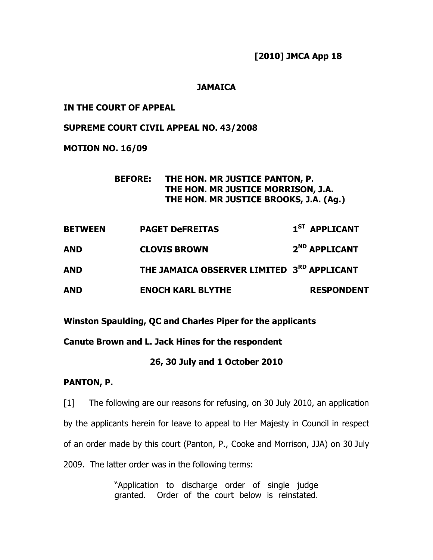[2010] JMCA App 18

## **JAMAICA**

### IN THE COURT OF APPEAL

#### SUPREME COURT CIVIL APPEAL NO. 43/2008

#### MOTION NO. 16/09

# BEFORE: THE HON. MR JUSTICE PANTON, P. THE HON. MR JUSTICE MORRISON, J.A. THE HON. MR JUSTICE BROOKS, J.A. (Ag.)

| <b>BETWEEN</b> | <b>PAGET DeFREITAS</b>                                 | 1 <sup>ST</sup> APPLICANT |
|----------------|--------------------------------------------------------|---------------------------|
| <b>AND</b>     | <b>CLOVIS BROWN</b>                                    | 2 <sup>ND</sup> APPLICANT |
| <b>AND</b>     | THE JAMAICA OBSERVER LIMITED 3 <sup>RD</sup> APPLICANT |                           |
| <b>AND</b>     | <b>ENOCH KARL BLYTHE</b>                               | <b>RESPONDENT</b>         |

Winston Spaulding, QC and Charles Piper for the applicants

# Canute Brown and L. Jack Hines for the respondent

## 26, 30 July and 1 October 2010

## PANTON, P.

[1] The following are our reasons for refusing, on 30 July 2010, an application by the applicants herein for leave to appeal to Her Majesty in Council in respect of an order made by this court (Panton, P., Cooke and Morrison, JJA) on 30 July 2009. The latter order was in the following terms:

> "Application to discharge order of single judge granted. Order of the court below is reinstated.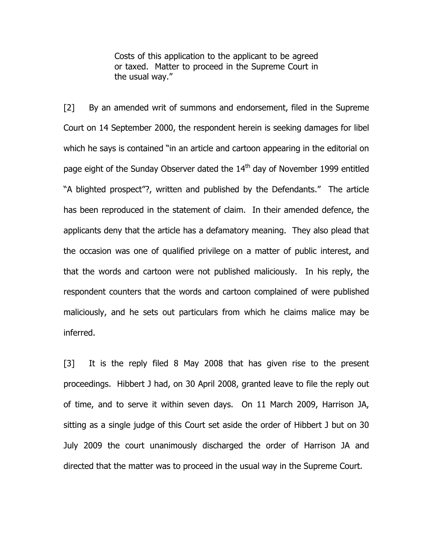Costs of this application to the applicant to be agreed or taxed. Matter to proceed in the Supreme Court in the usual way."

[2] By an amended writ of summons and endorsement, filed in the Supreme Court on 14 September 2000, the respondent herein is seeking damages for libel which he says is contained "in an article and cartoon appearing in the editorial on page eight of the Sunday Observer dated the 14<sup>th</sup> day of November 1999 entitled "A blighted prospect"?, written and published by the Defendants." The article has been reproduced in the statement of claim. In their amended defence, the applicants deny that the article has a defamatory meaning. They also plead that the occasion was one of qualified privilege on a matter of public interest, and that the words and cartoon were not published maliciously. In his reply, the respondent counters that the words and cartoon complained of were published maliciously, and he sets out particulars from which he claims malice may be inferred.

[3] It is the reply filed 8 May 2008 that has given rise to the present proceedings. Hibbert J had, on 30 April 2008, granted leave to file the reply out of time, and to serve it within seven days. On 11 March 2009, Harrison JA, sitting as a single judge of this Court set aside the order of Hibbert J but on 30 July 2009 the court unanimously discharged the order of Harrison JA and directed that the matter was to proceed in the usual way in the Supreme Court.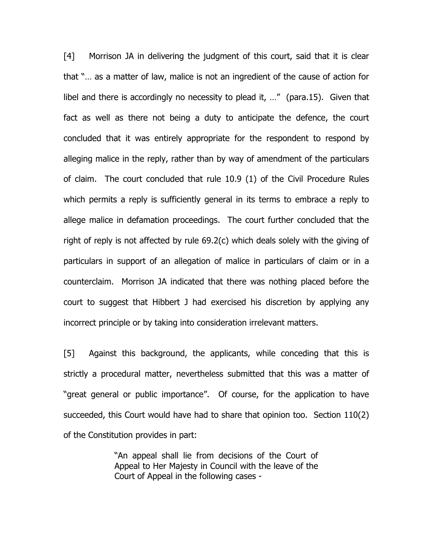[4] Morrison JA in delivering the judgment of this court, said that it is clear that "… as a matter of law, malice is not an ingredient of the cause of action for libel and there is accordingly no necessity to plead it, …" (para.15). Given that fact as well as there not being a duty to anticipate the defence, the court concluded that it was entirely appropriate for the respondent to respond by alleging malice in the reply, rather than by way of amendment of the particulars of claim. The court concluded that rule 10.9 (1) of the Civil Procedure Rules which permits a reply is sufficiently general in its terms to embrace a reply to allege malice in defamation proceedings. The court further concluded that the right of reply is not affected by rule 69.2(c) which deals solely with the giving of particulars in support of an allegation of malice in particulars of claim or in a counterclaim. Morrison JA indicated that there was nothing placed before the court to suggest that Hibbert J had exercised his discretion by applying any incorrect principle or by taking into consideration irrelevant matters.

[5] Against this background, the applicants, while conceding that this is strictly a procedural matter, nevertheless submitted that this was a matter of "great general or public importance". Of course, for the application to have succeeded, this Court would have had to share that opinion too. Section 110(2) of the Constitution provides in part:

> "An appeal shall lie from decisions of the Court of Appeal to Her Majesty in Council with the leave of the Court of Appeal in the following cases -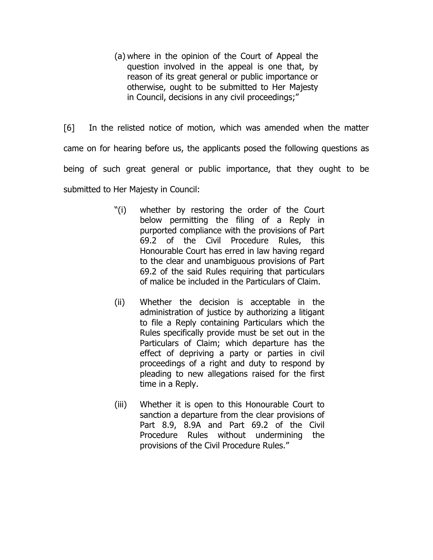(a) where in the opinion of the Court of Appeal the question involved in the appeal is one that, by reason of its great general or public importance or otherwise, ought to be submitted to Her Majesty in Council, decisions in any civil proceedings;"

[6] In the relisted notice of motion, which was amended when the matter came on for hearing before us, the applicants posed the following questions as being of such great general or public importance, that they ought to be submitted to Her Majesty in Council:

- "(i) whether by restoring the order of the Court below permitting the filing of a Reply in purported compliance with the provisions of Part 69.2 of the Civil Procedure Rules, this Honourable Court has erred in law having regard to the clear and unambiguous provisions of Part 69.2 of the said Rules requiring that particulars of malice be included in the Particulars of Claim.
- (ii) Whether the decision is acceptable in the administration of justice by authorizing a litigant to file a Reply containing Particulars which the Rules specifically provide must be set out in the Particulars of Claim; which departure has the effect of depriving a party or parties in civil proceedings of a right and duty to respond by pleading to new allegations raised for the first time in a Reply.
- (iii) Whether it is open to this Honourable Court to sanction a departure from the clear provisions of Part 8.9, 8.9A and Part 69.2 of the Civil Procedure Rules without undermining the provisions of the Civil Procedure Rules."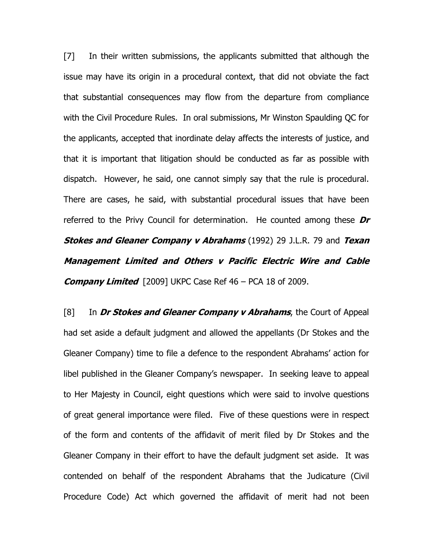[7] In their written submissions, the applicants submitted that although the issue may have its origin in a procedural context, that did not obviate the fact that substantial consequences may flow from the departure from compliance with the Civil Procedure Rules. In oral submissions, Mr Winston Spaulding QC for the applicants, accepted that inordinate delay affects the interests of justice, and that it is important that litigation should be conducted as far as possible with dispatch. However, he said, one cannot simply say that the rule is procedural. There are cases, he said, with substantial procedural issues that have been referred to the Privy Council for determination. He counted among these  $Dr$ **Stokes and Gleaner Company v Abrahams** (1992) 29 J.L.R. 79 and Texan Management Limited and Others v Pacific Electric Wire and Cable **Company Limited**  $[2009]$  UKPC Case Ref 46 – PCA 18 of 2009.

[8] In Dr Stokes and Gleaner Company  $v$  Abrahams, the Court of Appeal had set aside a default judgment and allowed the appellants (Dr Stokes and the Gleaner Company) time to file a defence to the respondent Abrahams' action for libel published in the Gleaner Company's newspaper. In seeking leave to appeal to Her Majesty in Council, eight questions which were said to involve questions of great general importance were filed. Five of these questions were in respect of the form and contents of the affidavit of merit filed by Dr Stokes and the Gleaner Company in their effort to have the default judgment set aside. It was contended on behalf of the respondent Abrahams that the Judicature (Civil Procedure Code) Act which governed the affidavit of merit had not been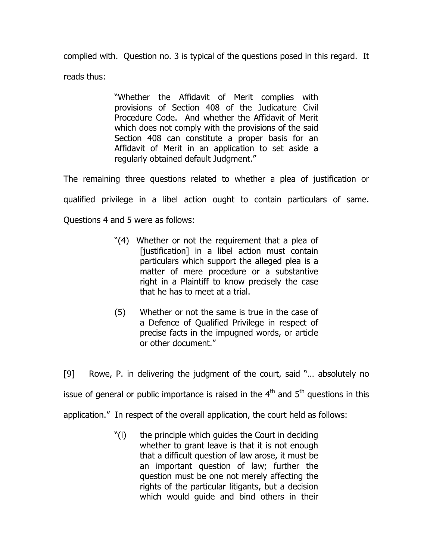complied with. Question no. 3 is typical of the questions posed in this regard. It reads thus:

> "Whether the Affidavit of Merit complies with provisions of Section 408 of the Judicature Civil Procedure Code. And whether the Affidavit of Merit which does not comply with the provisions of the said Section 408 can constitute a proper basis for an Affidavit of Merit in an application to set aside a regularly obtained default Judgment."

The remaining three questions related to whether a plea of justification or qualified privilege in a libel action ought to contain particulars of same. Questions 4 and 5 were as follows:

- "(4) Whether or not the requirement that a plea of [justification] in a libel action must contain particulars which support the alleged plea is a matter of mere procedure or a substantive right in a Plaintiff to know precisely the case that he has to meet at a trial.
- (5) Whether or not the same is true in the case of a Defence of Qualified Privilege in respect of precise facts in the impugned words, or article or other document."

[9] Rowe, P. in delivering the judgment of the court, said "… absolutely no issue of general or public importance is raised in the  $4<sup>th</sup>$  and  $5<sup>th</sup>$  questions in this application." In respect of the overall application, the court held as follows:

> "(i) the principle which guides the Court in deciding whether to grant leave is that it is not enough that a difficult question of law arose, it must be an important question of law; further the question must be one not merely affecting the rights of the particular litigants, but a decision which would guide and bind others in their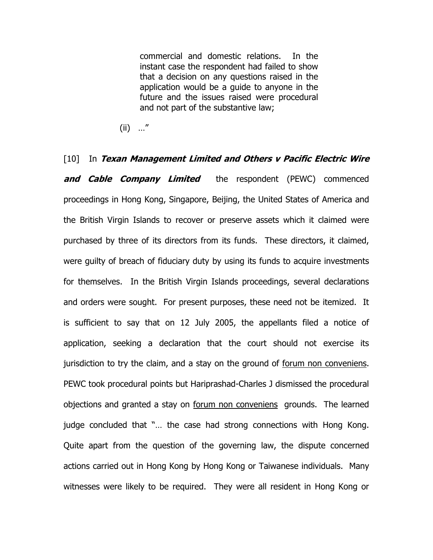commercial and domestic relations. In the instant case the respondent had failed to show that a decision on any questions raised in the application would be a guide to anyone in the future and the issues raised were procedural and not part of the substantive law;

(ii) …"

 $[10]$  In Texan Management Limited and Others v Pacific Electric Wire and Cable Company Limited the respondent (PEWC) commenced proceedings in Hong Kong, Singapore, Beijing, the United States of America and the British Virgin Islands to recover or preserve assets which it claimed were purchased by three of its directors from its funds. These directors, it claimed, were guilty of breach of fiduciary duty by using its funds to acquire investments for themselves. In the British Virgin Islands proceedings, several declarations and orders were sought. For present purposes, these need not be itemized. It is sufficient to say that on 12 July 2005, the appellants filed a notice of application, seeking a declaration that the court should not exercise its jurisdiction to try the claim, and a stay on the ground of forum non conveniens. PEWC took procedural points but Hariprashad-Charles J dismissed the procedural objections and granted a stay on forum non conveniens grounds. The learned judge concluded that "… the case had strong connections with Hong Kong. Quite apart from the question of the governing law, the dispute concerned actions carried out in Hong Kong by Hong Kong or Taiwanese individuals. Many witnesses were likely to be required. They were all resident in Hong Kong or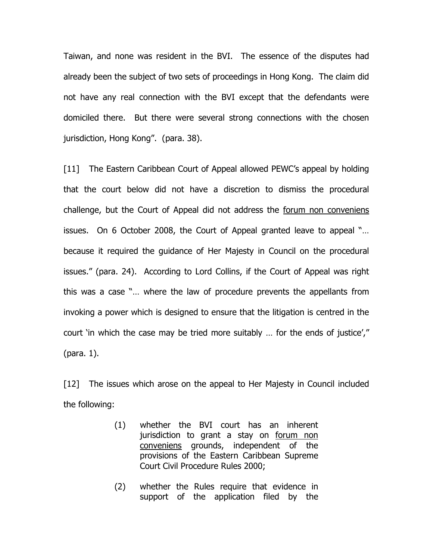Taiwan, and none was resident in the BVI. The essence of the disputes had already been the subject of two sets of proceedings in Hong Kong. The claim did not have any real connection with the BVI except that the defendants were domiciled there. But there were several strong connections with the chosen jurisdiction, Hong Kong". (para. 38).

[11] The Eastern Caribbean Court of Appeal allowed PEWC's appeal by holding that the court below did not have a discretion to dismiss the procedural challenge, but the Court of Appeal did not address the forum non conveniens issues. On 6 October 2008, the Court of Appeal granted leave to appeal "… because it required the guidance of Her Majesty in Council on the procedural issues." (para. 24). According to Lord Collins, if the Court of Appeal was right this was a case "… where the law of procedure prevents the appellants from invoking a power which is designed to ensure that the litigation is centred in the court 'in which the case may be tried more suitably … for the ends of justice'," (para. 1).

[12] The issues which arose on the appeal to Her Majesty in Council included the following:

- (1) whether the BVI court has an inherent jurisdiction to grant a stay on forum non conveniens grounds, independent of the provisions of the Eastern Caribbean Supreme Court Civil Procedure Rules 2000;
- (2) whether the Rules require that evidence in support of the application filed by the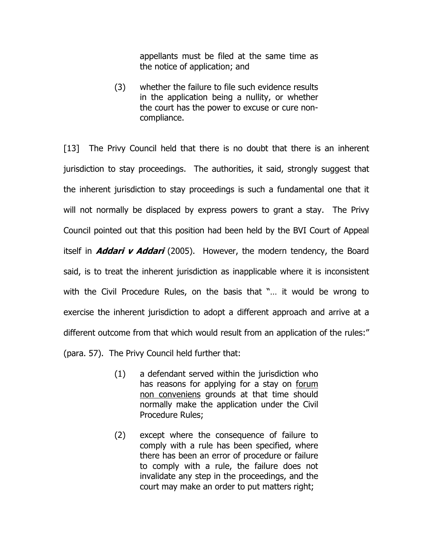appellants must be filed at the same time as the notice of application; and

(3) whether the failure to file such evidence results in the application being a nullity, or whether the court has the power to excuse or cure noncompliance.

[13] The Privy Council held that there is no doubt that there is an inherent jurisdiction to stay proceedings. The authorities, it said, strongly suggest that the inherent jurisdiction to stay proceedings is such a fundamental one that it will not normally be displaced by express powers to grant a stay. The Privy Council pointed out that this position had been held by the BVI Court of Appeal itself in **Addari v Addari** (2005). However, the modern tendency, the Board said, is to treat the inherent jurisdiction as inapplicable where it is inconsistent with the Civil Procedure Rules, on the basis that "… it would be wrong to exercise the inherent jurisdiction to adopt a different approach and arrive at a different outcome from that which would result from an application of the rules:" (para. 57). The Privy Council held further that:

- (1) a defendant served within the jurisdiction who has reasons for applying for a stay on forum non conveniens grounds at that time should normally make the application under the Civil Procedure Rules;
- (2) except where the consequence of failure to comply with a rule has been specified, where there has been an error of procedure or failure to comply with a rule, the failure does not invalidate any step in the proceedings, and the court may make an order to put matters right;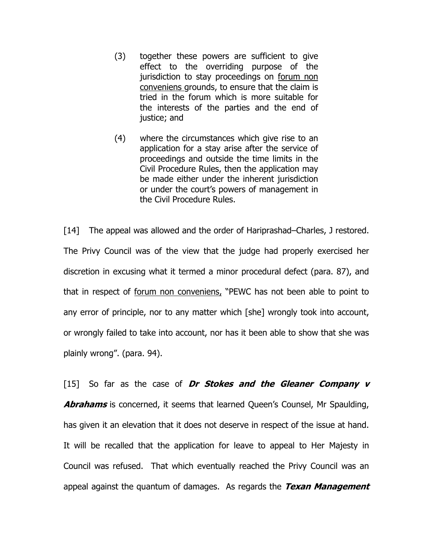- (3) together these powers are sufficient to give effect to the overriding purpose of the jurisdiction to stay proceedings on forum non conveniens grounds, to ensure that the claim is tried in the forum which is more suitable for the interests of the parties and the end of justice; and
- (4) where the circumstances which give rise to an application for a stay arise after the service of proceedings and outside the time limits in the Civil Procedure Rules, then the application may be made either under the inherent jurisdiction or under the court's powers of management in the Civil Procedure Rules.

[14] The appeal was allowed and the order of Hariprashad–Charles, J restored. The Privy Council was of the view that the judge had properly exercised her discretion in excusing what it termed a minor procedural defect (para. 87), and that in respect of forum non conveniens, "PEWC has not been able to point to any error of principle, nor to any matter which [she] wrongly took into account, or wrongly failed to take into account, nor has it been able to show that she was plainly wrong". (para. 94).

[15] So far as the case of Dr Stokes and the Gleaner Company  $v$ **Abrahams** is concerned, it seems that learned Queen's Counsel, Mr Spaulding, has given it an elevation that it does not deserve in respect of the issue at hand. It will be recalled that the application for leave to appeal to Her Majesty in Council was refused. That which eventually reached the Privy Council was an appeal against the quantum of damages. As regards the Texan Management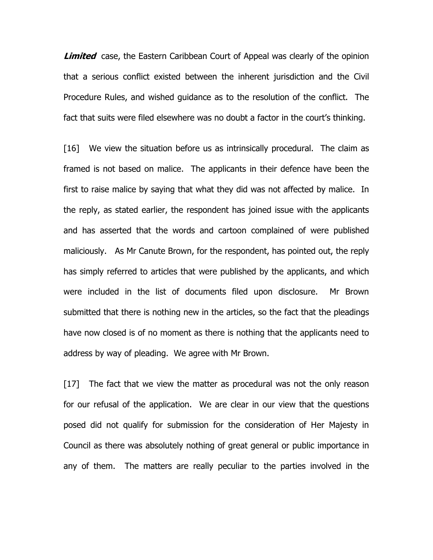**Limited** case, the Eastern Caribbean Court of Appeal was clearly of the opinion that a serious conflict existed between the inherent jurisdiction and the Civil Procedure Rules, and wished guidance as to the resolution of the conflict. The fact that suits were filed elsewhere was no doubt a factor in the court's thinking.

[16] We view the situation before us as intrinsically procedural. The claim as framed is not based on malice. The applicants in their defence have been the first to raise malice by saying that what they did was not affected by malice. In the reply, as stated earlier, the respondent has joined issue with the applicants and has asserted that the words and cartoon complained of were published maliciously. As Mr Canute Brown, for the respondent, has pointed out, the reply has simply referred to articles that were published by the applicants, and which were included in the list of documents filed upon disclosure. Mr Brown submitted that there is nothing new in the articles, so the fact that the pleadings have now closed is of no moment as there is nothing that the applicants need to address by way of pleading. We agree with Mr Brown.

[17] The fact that we view the matter as procedural was not the only reason for our refusal of the application. We are clear in our view that the questions posed did not qualify for submission for the consideration of Her Majesty in Council as there was absolutely nothing of great general or public importance in any of them. The matters are really peculiar to the parties involved in the